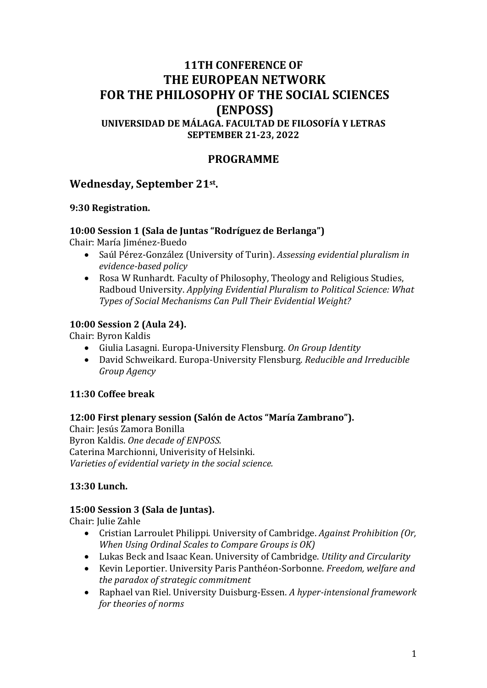# **11TH CONFERENCE OF THE EUROPEAN NETWORK FOR THE PHILOSOPHY OF THE SOCIAL SCIENCES (ENPOSS) UNIVERSIDAD DE MÁLAGA. FACULTAD DE FILOSOFÍA Y LETRAS SEPTEMBER 21-23, 2022**

# **PROGRAMME**

# **Wednesday, September 21st .**

#### **9:30 Registration.**

#### **10:00 Session 1 (Sala de Juntas "Rodríguez de Berlanga")**

Chair: María Jiménez-Buedo

- Saúl Pérez-González (University of Turin). *Assessing evidential pluralism in evidence-based policy*
- Rosa W Runhardt. Faculty of Philosophy, Theology and Religious Studies, Radboud University. *Applying Evidential Pluralism to Political Science: What Types of Social Mechanisms Can Pull Their Evidential Weight?*

### **10:00 Session 2 (Aula 24).**

Chair: Byron Kaldis

- Giulia Lasagni. Europa-University Flensburg. *On Group Identity*
- David Schweikard. Europa-University Flensburg. *Reducible and Irreducible Group Agency*

#### **11:30 Coffee break**

#### **12:00 First plenary session (Salón de Actos "María Zambrano").**

Chair: Jesús Zamora Bonilla Byron Kaldis. *One decade of ENPOSS.* Caterina Marchionni, Univerisity of Helsinki. *Varieties of evidential variety in the social science.*

### **13:30 Lunch.**

#### **15:00 Session 3 (Sala de Juntas).**

Chair: Julie Zahle

- Cristian Larroulet Philippi. University of Cambridge. *Against Prohibition (Or, When Using Ordinal Scales to Compare Groups is OK)*
- Lukas Beck and Isaac Kean. University of Cambridge. *Utility and Circularity*
- Kevin Leportier. University Paris Panthéon-Sorbonne. *Freedom, welfare and the paradox of strategic commitment*
- Raphael van Riel. University Duisburg-Essen. *A hyper-intensional framework for theories of norms*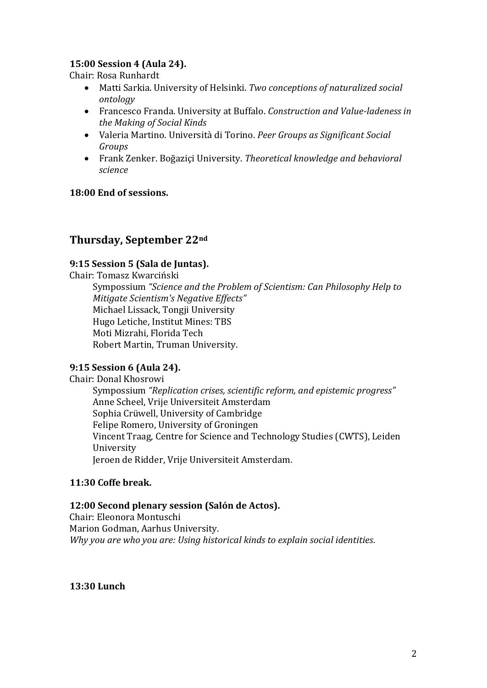### **15:00 Session 4 (Aula 24).**

Chair: Rosa Runhardt

- Matti Sarkia. University of Helsinki. *Two conceptions of naturalized social ontology*
- Francesco Franda. University at Buffalo. *Construction and Value-ladeness in the Making of Social Kinds*
- Valeria Martino. Università di Torino. *Peer Groups as Significant Social Groups*
- Frank Zenker. Boğaziçi University. *Theoretical knowledge and behavioral science*

### **18:00 End of sessions.**

# **Thursday, September 22nd**

### **9:15 Session 5 (Sala de Juntas).**

Chair: Tomasz Kwarciński Sympossium *"Science and the Problem of Scientism: Can Philosophy Help to Mitigate Scientism's Negative Effects"* Michael Lissack, Tongji University Hugo Letiche, Institut Mines: TBS Moti Mizrahi, Florida Tech Robert Martin, Truman University.

#### **9:15 Session 6 (Aula 24).**

Chair: Donal Khosrowi Sympossium *"Replication crises, scientific reform, and epistemic progress"* Anne Scheel, Vrije Universiteit Amsterdam Sophia Crüwell, University of Cambridge Felipe Romero, University of Groningen Vincent Traag, Centre for Science and Technology Studies (CWTS), Leiden University Jeroen de Ridder, Vrije Universiteit Amsterdam.

#### **11:30 Coffe break.**

#### **12:00 Second plenary session (Salón de Actos).**

Chair: Eleonora Montuschi Marion Godman, Aarhus University. *Why you are who you are: Using historical kinds to explain social identities.*

**13:30 Lunch**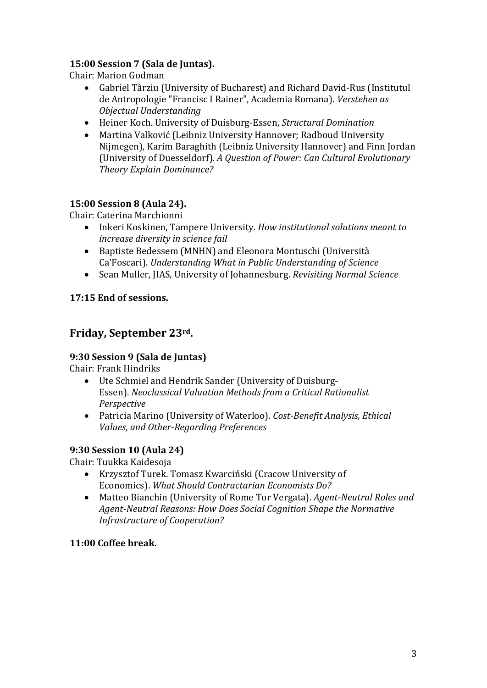# **15:00 Session 7 (Sala de Juntas).**

Chair: Marion Godman

- Gabriel Târziu (University of Bucharest) and Richard David-Rus (Institutul de Antropologie "Francisc I Rainer", Academia Romana). *Verstehen as Objectual Understanding*
- Heiner Koch. University of Duisburg-Essen, *Structural Domination*
- Martina Valković (Leibniz University Hannover; Radboud University Nijmegen), Karim Baraghith (Leibniz University Hannover) and Finn Jordan (University of Duesseldorf)*. A Question of Power: Can Cultural Evolutionary Theory Explain Dominance?*

## **15:00 Session 8 (Aula 24).**

Chair: Caterina Marchionni

- Inkeri Koskinen, Tampere University. *How institutional solutions meant to increase diversity in science fail*
- Baptiste Bedessem (MNHN) and Eleonora Montuschi (Università Ca'Foscari). *Understanding What in Public Understanding of Science*
- Sean Muller, JIAS, University of Johannesburg. *Revisiting Normal Science*

### **17:15 End of sessions.**

# **Friday, September 23rd.**

### **9:30 Session 9 (Sala de Juntas)**

Chair: Frank Hindriks

- Ute Schmiel and Hendrik Sander (University of Duisburg-Essen). *Neoclassical Valuation Methods from a Critical Rationalist Perspective*
- Patricia Marino (University of Waterloo). *Cost-Benefit Analysis, Ethical Values, and Other-Regarding Preferences*

### **9:30 Session 10 (Aula 24)**

Chair: Tuukka Kaidesoja

- Krzysztof Turek. Tomasz Kwarciński (Cracow University of Economics). *What Should Contractarian Economists Do?*
- Matteo Bianchin (University of Rome Tor Vergata). *Agent-Neutral Roles and Agent-Neutral Reasons: How Does Social Cognition Shape the Normative Infrastructure of Cooperation?*

### **11:00 Coffee break.**